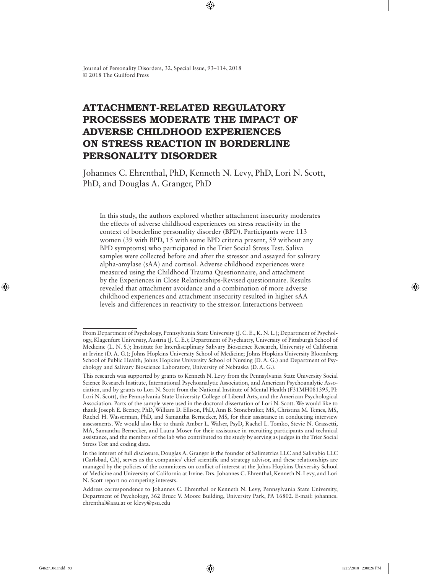# ATTACHMENT-RELATED REGULATORY PROCESSES MODERATE THE IMPACT OF ADVERSE CHILDHOOD EXPERIENCES ON STRESS REACTION IN BORDERLINE PERSONALITY DISORDER

Johannes C. Ehrenthal, PhD, Kenneth N. Levy, PhD, Lori N. Scott, PhD, and Douglas A. Granger, PhD

In this study, the authors explored whether attachment insecurity moderates the effects of adverse childhood experiences on stress reactivity in the context of borderline personality disorder (BPD). Participants were 113 women (39 with BPD, 15 with some BPD criteria present, 59 without any BPD symptoms) who participated in the Trier Social Stress Test. Saliva samples were collected before and after the stressor and assayed for salivary alpha-amylase (sAA) and cortisol. Adverse childhood experiences were measured using the Childhood Trauma Questionnaire, and attachment by the Experiences in Close Relationships-Revised questionnaire. Results revealed that attachment avoidance and a combination of more adverse childhood experiences and attachment insecurity resulted in higher sAA levels and differences in reactivity to the stressor. Interactions between

From Department of Psychology, Pennsylvania State University (J. C. E., K. N. L.); Department of Psychology, Klagenfurt University, Austria (J. C. E.); Department of Psychiatry, University of Pittsburgh School of Medicine (L. N. S.); Institute for Interdisciplinary Salivary Bioscience Research, University of California at Irvine (D. A. G.); Johns Hopkins University School of Medicine; Johns Hopkins University Bloomberg School of Public Health; Johns Hopkins University School of Nursing (D. A. G.) and Department of Psychology and Salivary Bioscience Laboratory, University of Nebraska (D. A. G.).

This research was supported by grants to Kenneth N. Levy from the Pennsylvania State University Social Science Research Institute, International Psychoanalytic Association, and American Psychoanalytic Association, and by grants to Lori N. Scott from the National Institute of Mental Health (F31MH081395, PI: Lori N. Scott), the Pennsylvania State University College of Liberal Arts, and the American Psychological Association. Parts of the sample were used in the doctoral dissertation of Lori N. Scott. We would like to thank Joseph E. Beeney, PhD, William D. Ellison, PhD, Ann B. Stonebraker, MS, Christina M. Temes, MS, Rachel H. Wasserman, PhD, and Samantha Bernecker, MS, for their assistance in conducting interview assessments. We would also like to thank Amber L. Walser, PsyD, Rachel L. Tomko, Stevie N. Grassetti, MA, Samantha Bernecker, and Laura Moser for their assistance in recruiting participants and technical assistance, and the members of the lab who contributed to the study by serving as judges in the Trier Social Stress Test and coding data.

In the interest of full disclosure, Douglas A. Granger is the founder of Salimetrics LLC and Salivabio LLC (Carlsbad, CA), serves as the companies' chief scientific and strategy advisor, and these relationships are managed by the policies of the committees on conflict of interest at the Johns Hopkins University School of Medicine and University of California at Irvine. Drs. Johannes C. Ehrenthal, Kenneth N. Levy, and Lori N. Scott report no competing interests.

Address correspondence to Johannes C. Ehrenthal or Kenneth N. Levy, Pennsylvania State University, Department of Psychology, 362 Bruce V. Moore Building, University Park, PA 16802. E-mail: johannes. ehrenthal@aau.at or klevy@psu.edu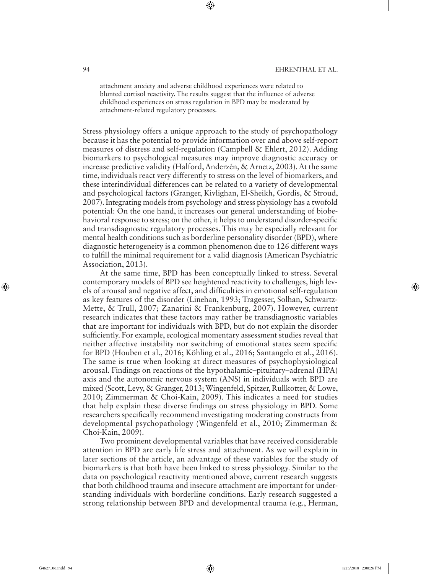attachment anxiety and adverse childhood experiences were related to blunted cortisol reactivity. The results suggest that the influence of adverse childhood experiences on stress regulation in BPD may be moderated by attachment-related regulatory processes.

Stress physiology offers a unique approach to the study of psychopathology because it has the potential to provide information over and above self-report measures of distress and self-regulation (Campbell & Ehlert, 2012). Adding biomarkers to psychological measures may improve diagnostic accuracy or increase predictive validity (Halford, Anderzén, & Arnetz, 2003). At the same time, individuals react very differently to stress on the level of biomarkers, and these interindividual differences can be related to a variety of developmental and psychological factors (Granger, Kivlighan, El-Sheikh, Gordis, & Stroud, 2007). Integrating models from psychology and stress physiology has a twofold potential: On the one hand, it increases our general understanding of biobehavioral response to stress; on the other, it helps to understand disorder-specific and transdiagnostic regulatory processes. This may be especially relevant for mental health conditions such as borderline personality disorder (BPD), where diagnostic heterogeneity is a common phenomenon due to 126 different ways to fulfill the minimal requirement for a valid diagnosis (American Psychiatric Association, 2013).

At the same time, BPD has been conceptually linked to stress. Several contemporary models of BPD see heightened reactivity to challenges, high levels of arousal and negative affect, and difficulties in emotional self-regulation as key features of the disorder (Linehan, 1993; Tragesser, Solhan, Schwartz-Mette, & Trull, 2007; Zanarini & Frankenburg, 2007). However, current research indicates that these factors may rather be transdiagnostic variables that are important for individuals with BPD, but do not explain the disorder sufficiently. For example, ecological momentary assessment studies reveal that neither affective instability nor switching of emotional states seem specific for BPD (Houben et al., 2016; Köhling et al., 2016; Santangelo et al., 2016). The same is true when looking at direct measures of psychophysiological arousal. Findings on reactions of the hypothalamic–pituitary–adrenal (HPA) axis and the autonomic nervous system (ANS) in individuals with BPD are mixed (Scott, Levy, & Granger, 2013; Wingenfeld, Spitzer, Rullkotter, & Lowe, 2010; Zimmerman & Choi-Kain, 2009). This indicates a need for studies that help explain these diverse findings on stress physiology in BPD. Some researchers specifically recommend investigating moderating constructs from developmental psychopathology (Wingenfeld et al., 2010; Zimmerman & Choi-Kain, 2009).

Two prominent developmental variables that have received considerable attention in BPD are early life stress and attachment. As we will explain in later sections of the article, an advantage of these variables for the study of biomarkers is that both have been linked to stress physiology. Similar to the data on psychological reactivity mentioned above, current research suggests that both childhood trauma and insecure attachment are important for understanding individuals with borderline conditions. Early research suggested a strong relationship between BPD and developmental trauma (e.g., Herman,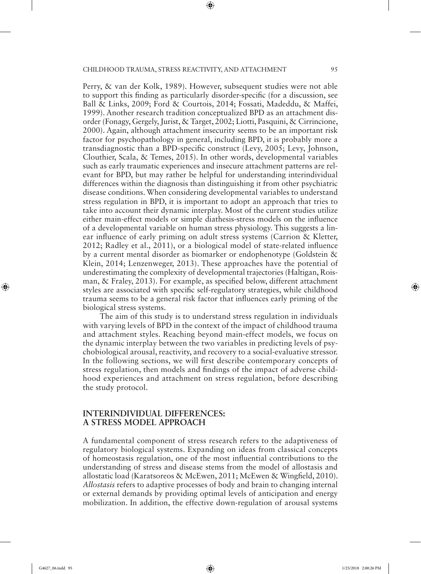Perry, & van der Kolk, 1989). However, subsequent studies were not able to support this finding as particularly disorder-specific (for a discussion, see Ball & Links, 2009; Ford & Courtois, 2014; Fossati, Madeddu, & Maffei, 1999). Another research tradition conceptualized BPD as an attachment disorder (Fonagy, Gergely, Jurist, & Target, 2002; Liotti, Pasquini, & Cirrincione, 2000). Again, although attachment insecurity seems to be an important risk factor for psychopathology in general, including BPD, it is probably more a transdiagnostic than a BPD-specific construct (Levy, 2005; Levy, Johnson, Clouthier, Scala, & Temes, 2015). In other words, developmental variables such as early traumatic experiences and insecure attachment patterns are relevant for BPD, but may rather be helpful for understanding interindividual differences within the diagnosis than distinguishing it from other psychiatric disease conditions. When considering developmental variables to understand stress regulation in BPD, it is important to adopt an approach that tries to take into account their dynamic interplay. Most of the current studies utilize either main-effect models or simple diathesis-stress models on the influence of a developmental variable on human stress physiology. This suggests a linear influence of early priming on adult stress systems (Carrion & Kletter, 2012; Radley et al., 2011), or a biological model of state-related influence by a current mental disorder as biomarker or endophenotype (Goldstein & Klein, 2014; Lenzenweger, 2013). These approaches have the potential of underestimating the complexity of developmental trajectories (Haltigan, Roisman, & Fraley, 2013). For example, as specified below, different attachment styles are associated with specific self-regulatory strategies, while childhood trauma seems to be a general risk factor that influences early priming of the biological stress systems.

The aim of this study is to understand stress regulation in individuals with varying levels of BPD in the context of the impact of childhood trauma and attachment styles. Reaching beyond main-effect models, we focus on the dynamic interplay between the two variables in predicting levels of psychobiological arousal, reactivity, and recovery to a social-evaluative stressor. In the following sections, we will first describe contemporary concepts of stress regulation, then models and findings of the impact of adverse childhood experiences and attachment on stress regulation, before describing the study protocol.

# **INTERINDIVIDUAL DIFFERENCES: A STRESS MODEL APPROACH**

A fundamental component of stress research refers to the adaptiveness of regulatory biological systems. Expanding on ideas from classical concepts of homeostasis regulation, one of the most influential contributions to the understanding of stress and disease stems from the model of allostasis and allostatic load (Karatsoreos & McEwen, 2011; McEwen & Wingfield, 2010). *Allostasis* refers to adaptive processes of body and brain to changing internal or external demands by providing optimal levels of anticipation and energy mobilization. In addition, the effective down-regulation of arousal systems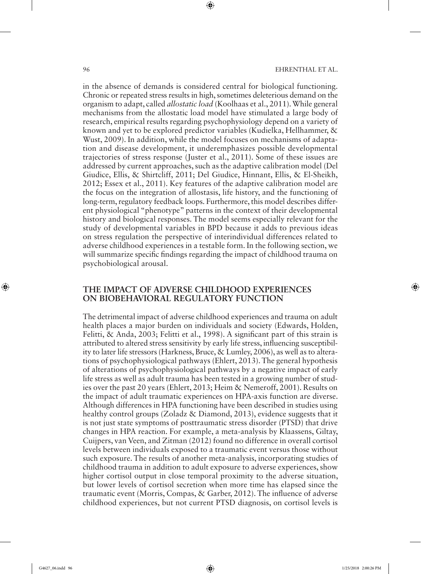in the absence of demands is considered central for biological functioning. Chronic or repeated stress results in high, sometimes deleterious demand on the organism to adapt, called *allostatic load* (Koolhaas et al., 2011). While general mechanisms from the allostatic load model have stimulated a large body of research, empirical results regarding psychophysiology depend on a variety of known and yet to be explored predictor variables (Kudielka, Hellhammer, & Wust, 2009). In addition, while the model focuses on mechanisms of adaptation and disease development, it underemphasizes possible developmental trajectories of stress response (Juster et al., 2011). Some of these issues are addressed by current approaches, such as the adaptive calibration model (Del Giudice, Ellis, & Shirtcliff, 2011; Del Giudice, Hinnant, Ellis, & El-Sheikh, 2012; Essex et al., 2011). Key features of the adaptive calibration model are the focus on the integration of allostasis, life history, and the functioning of long-term, regulatory feedback loops. Furthermore, this model describes different physiological "phenotype" patterns in the context of their developmental history and biological responses. The model seems especially relevant for the study of developmental variables in BPD because it adds to previous ideas on stress regulation the perspective of interindividual differences related to adverse childhood experiences in a testable form. In the following section, we will summarize specific findings regarding the impact of childhood trauma on psychobiological arousal.

# **THE IMPACT OF ADVERSE CHILDHOOD EXPERIENCES ON BIOBEHAVIORAL REGULATORY FUNCTION**

The detrimental impact of adverse childhood experiences and trauma on adult health places a major burden on individuals and society (Edwards, Holden, Felitti, & Anda, 2003; Felitti et al., 1998). A significant part of this strain is attributed to altered stress sensitivity by early life stress, influencing susceptibility to later life stressors (Harkness, Bruce, & Lumley, 2006), as well as to alterations of psychophysiological pathways (Ehlert, 2013). The general hypothesis of alterations of psychophysiological pathways by a negative impact of early life stress as well as adult trauma has been tested in a growing number of studies over the past 20 years (Ehlert, 2013; Heim & Nemeroff, 2001). Results on the impact of adult traumatic experiences on HPA-axis function are diverse. Although differences in HPA functioning have been described in studies using healthy control groups (Zoladz & Diamond, 2013), evidence suggests that it is not just state symptoms of posttraumatic stress disorder (PTSD) that drive changes in HPA reaction. For example, a meta-analysis by Klaassens, Giltay, Cuijpers, van Veen, and Zitman (2012) found no difference in overall cortisol levels between individuals exposed to a traumatic event versus those without such exposure. The results of another meta-analysis, incorporating studies of childhood trauma in addition to adult exposure to adverse experiences, show higher cortisol output in close temporal proximity to the adverse situation, but lower levels of cortisol secretion when more time has elapsed since the traumatic event (Morris, Compas, & Garber, 2012). The influence of adverse childhood experiences, but not current PTSD diagnosis, on cortisol levels is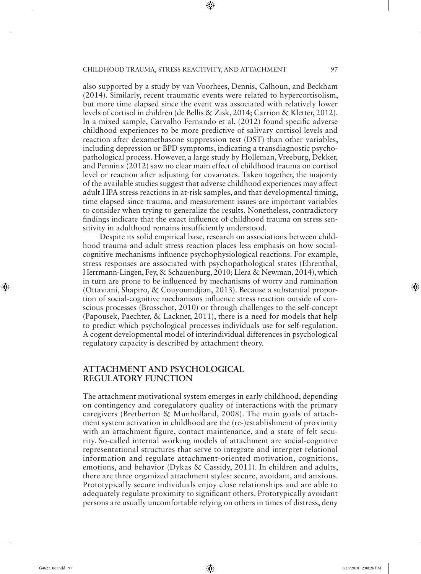also supported by a study by van Voorhees, Dennis, Calhoun, and Beckham (2014). Similarly, recent traumatic events were related to hypercortisolism, but more time elapsed since the event was associated with relatively lower levels of cortisol in children (de Bellis & Zisk, 2014; Carrion & Kletter, 2012). In a mixed sample, Carvalho Fernando et al. (2012) found specific adverse childhood experiences to be more predictive of salivary cortisol levels and reaction after dexamethasone suppression test (DST) than other variables, including depression or BPD symptoms, indicating a transdiagnostic psychopathological process. However, a large study by Holleman, Vreeburg, Dekker, and Penninx (2012) saw no clear main effect of childhood trauma on cortisol level or reaction after adjusting for covariates. Taken together, the majority of the available studies suggest that adverse childhood experiences may affect adult HPA stress reactions in at-risk samples, and that developmental timing, time elapsed since trauma, and measurement issues are important variables to consider when trying to generalize the results. Nonetheless, contradictory findings indicate that the exact influence of childhood trauma on stress sensitivity in adulthood remains insufficiently understood.

Despite its solid empirical base, research on associations between childhood trauma and adult stress reaction places less emphasis on how socialcognitive mechanisms influence psychophysiological reactions. For example, stress responses are associated with psychopathological states (Ehrenthal, Herrmann-Lingen, Fey, & Schauenburg, 2010; Llera & Newman, 2014), which in turn are prone to be influenced by mechanisms of worry and rumination (Ottaviani, Shapiro, & Couyoumdjian, 2013). Because a substantial proportion of social-cognitive mechanisms influence stress reaction outside of conscious processes (Brosschot, 2010) or through challenges to the self-concept (Papousek, Paechter, & Lackner, 2011), there is a need for models that help to predict which psychological processes individuals use for self-regulation. A cogent developmental model of interindividual differences in psychological regulatory capacity is described by attachment theory.

# **ATTACHMENT AND PSYCHOLOGICAL REGULATORY FUNCTION**

The attachment motivational system emerges in early childhood, depending on contingency and coregulatory quality of interactions with the primary caregivers (Bretherton & Munholland, 2008). The main goals of attachment system activation in childhood are the (re-)establishment of proximity with an attachment figure, contact maintenance, and a state of felt security. So-called internal working models of attachment are social-cognitive representational structures that serve to integrate and interpret relational information and regulate attachment-oriented motivation, cognitions, emotions, and behavior (Dykas & Cassidy, 2011). In children and adults, there are three organized attachment styles: secure, avoidant, and anxious. Prototypically secure individuals enjoy close relationships and are able to adequately regulate proximity to significant others. Prototypically avoidant persons are usually uncomfortable relying on others in times of distress, deny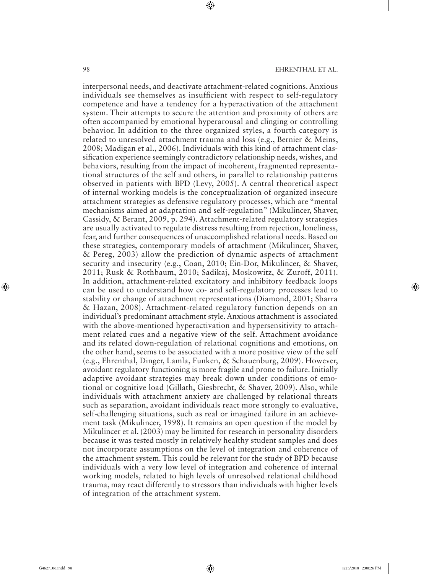interpersonal needs, and deactivate attachment-related cognitions. Anxious individuals see themselves as insufficient with respect to self-regulatory competence and have a tendency for a hyperactivation of the attachment system. Their attempts to secure the attention and proximity of others are often accompanied by emotional hyperarousal and clinging or controlling behavior. In addition to the three organized styles, a fourth category is related to unresolved attachment trauma and loss (e.g., Bernier & Meins, 2008; Madigan et al., 2006). Individuals with this kind of attachment classification experience seemingly contradictory relationship needs, wishes, and behaviors, resulting from the impact of incoherent, fragmented representational structures of the self and others, in parallel to relationship patterns observed in patients with BPD (Levy, 2005). A central theoretical aspect of internal working models is the conceptualization of organized insecure attachment strategies as defensive regulatory processes, which are "mental mechanisms aimed at adaptation and self-regulation" (Mikulincer, Shaver, Cassidy, & Berant, 2009, p. 294). Attachment-related regulatory strategies are usually activated to regulate distress resulting from rejection, loneliness, fear, and further consequences of unaccomplished relational needs. Based on these strategies, contemporary models of attachment (Mikulincer, Shaver, & Pereg, 2003) allow the prediction of dynamic aspects of attachment security and insecurity (e.g., Coan, 2010; Ein-Dor, Mikulincer, & Shaver, 2011; Rusk & Rothbaum, 2010; Sadikaj, Moskowitz, & Zuroff, 2011). In addition, attachment-related excitatory and inhibitory feedback loops can be used to understand how co- and self-regulatory processes lead to stability or change of attachment representations (Diamond, 2001; Sbarra & Hazan, 2008). Attachment-related regulatory function depends on an individual's predominant attachment style. Anxious attachment is associated with the above-mentioned hyperactivation and hypersensitivity to attachment related cues and a negative view of the self. Attachment avoidance and its related down-regulation of relational cognitions and emotions, on the other hand, seems to be associated with a more positive view of the self (e.g., Ehrenthal, Dinger, Lamla, Funken, & Schauenburg, 2009). However, avoidant regulatory functioning is more fragile and prone to failure. Initially adaptive avoidant strategies may break down under conditions of emotional or cognitive load (Gillath, Giesbrecht, & Shaver, 2009). Also, while individuals with attachment anxiety are challenged by relational threats such as separation, avoidant individuals react more strongly to evaluative, self-challenging situations, such as real or imagined failure in an achievement task (Mikulincer, 1998). It remains an open question if the model by Mikulincer et al. (2003) may be limited for research in personality disorders because it was tested mostly in relatively healthy student samples and does not incorporate assumptions on the level of integration and coherence of the attachment system. This could be relevant for the study of BPD because individuals with a very low level of integration and coherence of internal working models, related to high levels of unresolved relational childhood trauma, may react differently to stressors than individuals with higher levels of integration of the attachment system.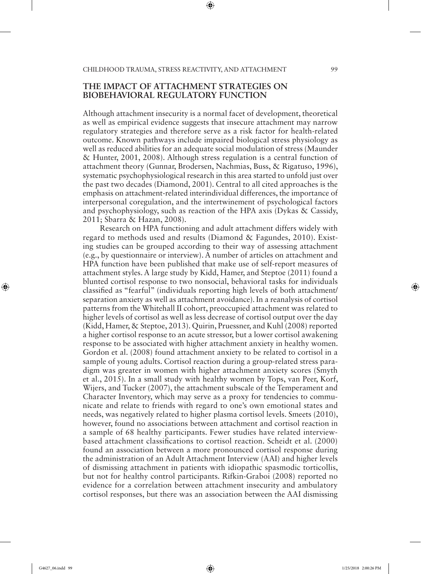# **THE IMPACT OF ATTACHMENT STRATEGIES ON BIOBEHAVIORAL REGULATORY FUNCTION**

Although attachment insecurity is a normal facet of development, theoretical as well as empirical evidence suggests that insecure attachment may narrow regulatory strategies and therefore serve as a risk factor for health-related outcome. Known pathways include impaired biological stress physiology as well as reduced abilities for an adequate social modulation of stress (Maunder & Hunter, 2001, 2008). Although stress regulation is a central function of attachment theory (Gunnar, Brodersen, Nachmias, Buss, & Rigatuso, 1996), systematic psychophysiological research in this area started to unfold just over the past two decades (Diamond, 2001). Central to all cited approaches is the emphasis on attachment-related interindividual differences, the importance of interpersonal coregulation, and the intertwinement of psychological factors and psychophysiology, such as reaction of the HPA axis (Dykas & Cassidy, 2011; Sbarra & Hazan, 2008).

Research on HPA functioning and adult attachment differs widely with regard to methods used and results (Diamond & Fagundes, 2010). Existing studies can be grouped according to their way of assessing attachment (e.g., by questionnaire or interview). A number of articles on attachment and HPA function have been published that make use of self-report measures of attachment styles. A large study by Kidd, Hamer, and Steptoe (2011) found a blunted cortisol response to two nonsocial, behavioral tasks for individuals classified as "fearful" (individuals reporting high levels of both attachment/ separation anxiety as well as attachment avoidance). In a reanalysis of cortisol patterns from the Whitehall II cohort, preoccupied attachment was related to higher levels of cortisol as well as less decrease of cortisol output over the day (Kidd, Hamer, & Steptoe, 2013). Quirin, Pruessner, and Kuhl (2008) reported a higher cortisol response to an acute stressor, but a lower cortisol awakening response to be associated with higher attachment anxiety in healthy women. Gordon et al. (2008) found attachment anxiety to be related to cortisol in a sample of young adults. Cortisol reaction during a group-related stress paradigm was greater in women with higher attachment anxiety scores (Smyth et al., 2015). In a small study with healthy women by Tops, van Peer, Korf, Wijers, and Tucker (2007), the attachment subscale of the Temperament and Character Inventory, which may serve as a proxy for tendencies to communicate and relate to friends with regard to one's own emotional states and needs, was negatively related to higher plasma cortisol levels. Smeets (2010), however, found no associations between attachment and cortisol reaction in a sample of 68 healthy participants. Fewer studies have related interviewbased attachment classifications to cortisol reaction. Scheidt et al. (2000) found an association between a more pronounced cortisol response during the administration of an Adult Attachment Interview (AAI) and higher levels of dismissing attachment in patients with idiopathic spasmodic torticollis, but not for healthy control participants. Rifkin-Graboi (2008) reported no evidence for a correlation between attachment insecurity and ambulatory cortisol responses, but there was an association between the AAI dismissing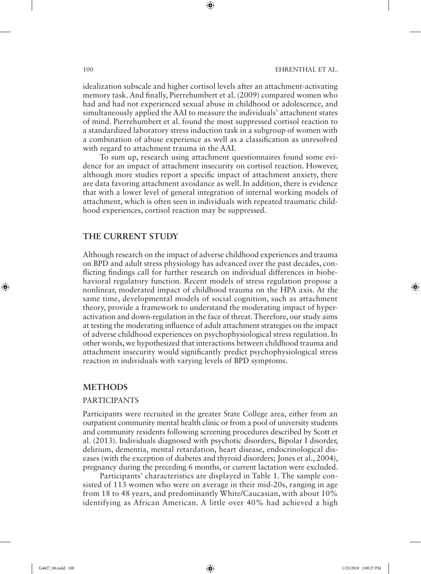idealization subscale and higher cortisol levels after an attachment-activating memory task. And finally, Pierrehumbert et al. (2009) compared women who had and had not experienced sexual abuse in childhood or adolescence, and simultaneously applied the AAI to measure the individuals' attachment states of mind. Pierrehumbert et al. found the most suppressed cortisol reaction to a standardized laboratory stress induction task in a subgroup of women with a combination of abuse experience as well as a classification as unresolved with regard to attachment trauma in the AAI.

To sum up, research using attachment questionnaires found some evidence for an impact of attachment insecurity on cortisol reaction. However, although more studies report a specific impact of attachment anxiety, there are data favoring attachment avoidance as well. In addition, there is evidence that with a lower level of general integration of internal working models of attachment, which is often seen in individuals with repeated traumatic childhood experiences, cortisol reaction may be suppressed.

#### **THE CURRENT STUDY**

Although research on the impact of adverse childhood experiences and trauma on BPD and adult stress physiology has advanced over the past decades, conflicting findings call for further research on individual differences in biobehavioral regulatory function. Recent models of stress regulation propose a nonlinear, moderated impact of childhood trauma on the HPA axis. At the same time, developmental models of social cognition, such as attachment theory, provide a framework to understand the moderating impact of hyperactivation and down-regulation in the face of threat. Therefore, our study aims at testing the moderating influence of adult attachment strategies on the impact of adverse childhood experiences on psychophysiological stress regulation. In other words, we hypothesized that interactions between childhood trauma and attachment insecurity would significantly predict psychophysiological stress reaction in individuals with varying levels of BPD symptoms.

#### **METHODS**

#### PARTICIPANTS

Participants were recruited in the greater State College area, either from an outpatient community mental health clinic or from a pool of university students and community residents following screening procedures described by Scott et al. (2013). Individuals diagnosed with psychotic disorders, Bipolar I disorder, delirium, dementia, mental retardation, heart disease, endocrinological diseases (with the exception of diabetes and thyroid disorders; Jones et al., 2004), pregnancy during the preceding 6 months, or current lactation were excluded.

Participants' characteristics are displayed in Table 1. The sample consisted of 113 women who were on average in their mid-20s, ranging in age from 18 to 48 years, and predominantly White/Caucasian, with about 10% identifying as African American. A little over 40% had achieved a high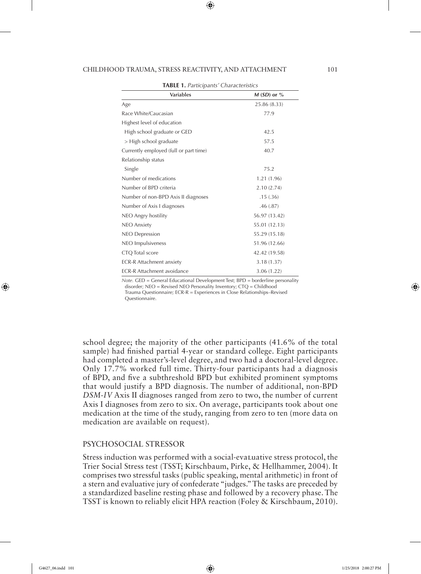| <b>Variables</b>                       | $M(SD)$ or %  |
|----------------------------------------|---------------|
| Age                                    | 25.86 (8.33)  |
| Race White/Caucasian                   | 77.9          |
| Highest level of education             |               |
| High school graduate or GED            | 42.5          |
| > High school graduate                 | 57.5          |
| Currently employed (full or part time) | 40.7          |
| Relationship status                    |               |
| Single                                 | 75.2          |
| Number of medications                  | 1.21(1.96)    |
| Number of BPD criteria                 | 2.10(2.74)    |
| Number of non-BPD Axis II diagnoses    | .15(.36)      |
| Number of Axis I diagnoses             | .46(.87)      |
| NEO Angry hostility                    | 56.97 (13.42) |
| <b>NEO Anxiety</b>                     | 55.01 (12.13) |
| <b>NEO Depression</b>                  | 55.29 (15.18) |
| NEO Impulsiveness                      | 51.96 (12.66) |
| CTQ Total score                        | 42.42 (19.58) |
| <b>ECR-R Attachment anxiety</b>        | 3.18 (1.37)   |
| <b>ECR-R Attachment avoidance</b>      | 3.06 (1.22)   |

**TABLE 1.** *Participants' Characteristics*

*Note.* GED = General Educational Development Test; BPD = borderline personality disorder; NEO = Revised NEO Personality Inventory; CTQ = Childhood Trauma Questionnaire; ECR-R = Experiences in Close Relationships–Revised Questionnaire.

school degree; the majority of the other participants (41.6% of the total sample) had finished partial 4-year or standard college. Eight participants had completed a master's-level degree, and two had a doctoral-level degree. Only 17.7% worked full time. Thirty-four participants had a diagnosis of BPD, and five a subthreshold BPD but exhibited prominent symptoms that would justify a BPD diagnosis. The number of additional, non-BPD *DSM-IV* Axis II diagnoses ranged from zero to two, the number of current Axis I diagnoses from zero to six. On average, participants took about one medication at the time of the study, ranging from zero to ten (more data on medication are available on request).

#### PSYCHOSOCIAL STRESSOR

Stress induction was performed with a social-evaluative stress protocol, the Trier Social Stress test (TSST; Kirschbaum, Pirke, & Hellhammer, 2004). It comprises two stressful tasks (public speaking, mental arithmetic) in front of a stern and evaluative jury of confederate "judges." The tasks are preceded by a standardized baseline resting phase and followed by a recovery phase. The TSST is known to reliably elicit HPA reaction (Foley & Kirschbaum, 2010).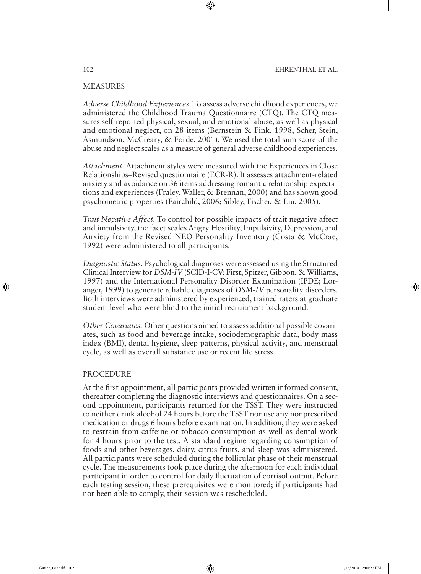# MEASURES

*Adverse Childhood Experiences.* To assess adverse childhood experiences, we administered the Childhood Trauma Questionnaire (CTQ). The CTQ measures self-reported physical, sexual, and emotional abuse, as well as physical and emotional neglect, on 28 items (Bernstein & Fink, 1998; Scher, Stein, Asmundson, McCreary, & Forde, 2001). We used the total sum score of the abuse and neglect scales as a measure of general adverse childhood experiences.

*Attachment.* Attachment styles were measured with the Experiences in Close Relationships–Revised questionnaire (ECR-R). It assesses attachment-related anxiety and avoidance on 36 items addressing romantic relationship expectations and experiences (Fraley, Waller, & Brennan, 2000) and has shown good psychometric properties (Fairchild, 2006; Sibley, Fischer, & Liu, 2005).

*Trait Negative Affect.* To control for possible impacts of trait negative affect and impulsivity, the facet scales Angry Hostility, Impulsivity, Depression, and Anxiety from the Revised NEO Personality Inventory (Costa & McCrae, 1992) were administered to all participants.

*Diagnostic Status.* Psychological diagnoses were assessed using the Structured Clinical Interview for *DSM-IV* (SCID-I-CV; First, Spitzer, Gibbon, & Williams, 1997) and the International Personality Disorder Examination (IPDE; Loranger, 1999) to generate reliable diagnoses of *DSM-IV* personality disorders. Both interviews were administered by experienced, trained raters at graduate student level who were blind to the initial recruitment background.

*Other Covariates.* Other questions aimed to assess additional possible covariates, such as food and beverage intake, sociodemographic data, body mass index (BMI), dental hygiene, sleep patterns, physical activity, and menstrual cycle, as well as overall substance use or recent life stress.

# PROCEDURE

At the first appointment, all participants provided written informed consent, thereafter completing the diagnostic interviews and questionnaires. On a second appointment, participants returned for the TSST. They were instructed to neither drink alcohol 24 hours before the TSST nor use any nonprescribed medication or drugs 6 hours before examination. In addition, they were asked to restrain from caffeine or tobacco consumption as well as dental work for 4 hours prior to the test. A standard regime regarding consumption of foods and other beverages, dairy, citrus fruits, and sleep was administered. All participants were scheduled during the follicular phase of their menstrual cycle. The measurements took place during the afternoon for each individual participant in order to control for daily fluctuation of cortisol output. Before each testing session, these prerequisites were monitored; if participants had not been able to comply, their session was rescheduled.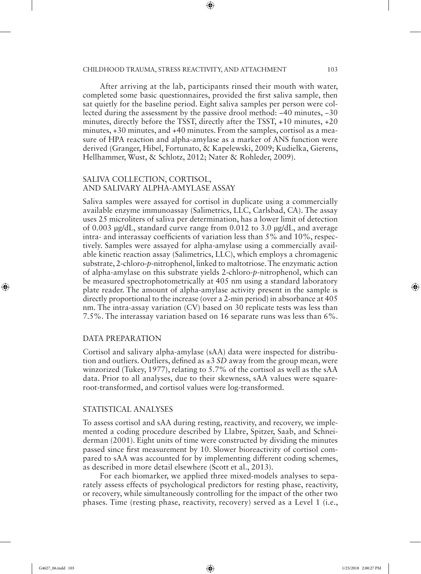After arriving at the lab, participants rinsed their mouth with water, completed some basic questionnaires, provided the first saliva sample, then sat quietly for the baseline period. Eight saliva samples per person were collected during the assessment by the passive drool method: −40 minutes, −30 minutes, directly before the TSST, directly after the TSST, +10 minutes, +20 minutes, +30 minutes, and +40 minutes. From the samples, cortisol as a measure of HPA reaction and alpha-amylase as a marker of ANS function were derived (Granger, Hibel, Fortunato, & Kapelewski, 2009; Kudielka, Gierens, Hellhammer, Wust, & Schlotz, 2012; Nater & Rohleder, 2009).

#### SALIVA COLLECTION, CORTISOL, AND SALIVARY ALPHA-AMYLASE ASSAY

Saliva samples were assayed for cortisol in duplicate using a commercially available enzyme immunoassay (Salimetrics, LLC, Carlsbad, CA). The assay uses 25 microliters of saliva per determination, has a lower limit of detection of 0.003 μg/dL, standard curve range from 0.012 to 3.0 μg/dL, and average intra- and interassay coefficients of variation less than 5% and 10%, respectively. Samples were assayed for alpha-amylase using a commercially available kinetic reaction assay (Salimetrics, LLC), which employs a chromagenic substrate, 2-chloro-*p*-nitrophenol, linked to maltotriose. The enzymatic action of alpha-amylase on this substrate yields 2-chloro-*p*-nitrophenol, which can be measured spectrophotometrically at 405 nm using a standard laboratory plate reader. The amount of alpha-amylase activity present in the sample is directly proportional to the increase (over a 2-min period) in absorbance at 405 nm. The intra-assay variation (CV) based on 30 replicate tests was less than 7.5%. The interassay variation based on 16 separate runs was less than 6%.

#### DATA PREPARATION

Cortisol and salivary alpha-amylase (sAA) data were inspected for distribution and outliers. Outliers, defined as ±3 *SD* away from the group mean, were winzorized (Tukey, 1977), relating to 5.7% of the cortisol as well as the sAA data. Prior to all analyses, due to their skewness, sAA values were squareroot-transformed, and cortisol values were log-transformed.

#### STATISTICAL ANALYSES

To assess cortisol and sAA during resting, reactivity, and recovery, we implemented a coding procedure described by Llabre, Spitzer, Saab, and Schneiderman (2001). Eight units of time were constructed by dividing the minutes passed since first measurement by 10. Slower bioreactivity of cortisol compared to sAA was accounted for by implementing different coding schemes, as described in more detail elsewhere (Scott et al., 2013).

For each biomarker, we applied three mixed-models analyses to separately assess effects of psychological predictors for resting phase, reactivity, or recovery, while simultaneously controlling for the impact of the other two phases. Time (resting phase, reactivity, recovery) served as a Level 1 (i.e.,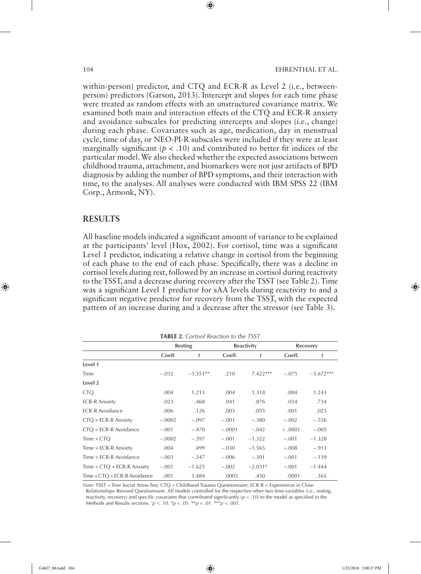within-person) predictor, and CTQ and ECR-R as Level 2 (i.e., betweenperson) predictors (Garson, 2013). Intercept and slopes for each time phase were treated as random effects with an unstructured covariance matrix. We examined both main and interaction effects of the CTQ and ECR-R anxiety and avoidance subscales for predicting intercepts and slopes (i.e., change) during each phase. Covariates such as age, medication, day in menstrual cycle, time of day, or NEO-PI-R subscales were included if they were at least marginally significant ( $p < .10$ ) and contributed to better fit indices of the particular model. We also checked whether the expected associations between childhood trauma, attachment, and biomarkers were not just artifacts of BPD diagnosis by adding the number of BPD symptoms, and their interaction with time, to the analyses. All analyses were conducted with IBM SPSS 22 (IBM Corp., Armonk, NY).

## **RESULTS**

All baseline models indicated a significant amount of variance to be explained at the participants' level (Hox, 2002). For cortisol, time was a significant Level 1 predictor, indicating a relative change in cortisol from the beginning of each phase to the end of each phase. Specifically, there was a decline in cortisol levels during rest, followed by an increase in cortisol during reactivity to the TSST, and a decrease during recovery after the TSST (see Table 2). Time was a significant Level 1 predictor for sAA levels during reactivity to and a significant negative predictor for recovery from the TSST, with the expected pattern of an increase during and a decrease after the stressor (see Table 3).

|                                            | <b>IADLL 4.</b> CONDOIT REACTION TO THE TOOT |            |            |            |          |             |  |  |
|--------------------------------------------|----------------------------------------------|------------|------------|------------|----------|-------------|--|--|
|                                            | <b>Resting</b>                               |            | Reactivity |            | Recovery |             |  |  |
|                                            | Coeff.                                       | t          | Coeff.     | t          | Coeff.   | t           |  |  |
| Level 1                                    |                                              |            |            |            |          |             |  |  |
| Time                                       | $-.032$                                      | $-3.351**$ | .210       | $7.422***$ | $-.075$  | $-5.672***$ |  |  |
| Level 2                                    |                                              |            |            |            |          |             |  |  |
| <b>CTQ</b>                                 | .004                                         | 1.213      | .004       | 1.318      | .004     | 1.243       |  |  |
| <b>ECR-R Anxiety</b>                       | .023                                         | .468       | .041       | .876       | .034     | .734        |  |  |
| <b>ECR-R Avoidance</b>                     | .006                                         | .126       | .003       | .055       | .001     | .025        |  |  |
| $CTQ \times ECR-R$ Anxiety                 | $-.0002$                                     | $-.097$    | $-.001$    | $-.380$    | $-.002$  | $-.556$     |  |  |
| CTO × ECR-R Avoidance                      | $-.001$                                      | $-.470$    | $-.0001$   | $-.042$    | < .0001  | $-.005$     |  |  |
| Time $\times$ CTO                          | $-.0002$                                     | $-.397$    | $-.001$    | $-1.322$   | $-.001$  | $-1.328$    |  |  |
| Time $\times$ ECR-R Anxiety                | .004                                         | .499       | $-.030$    | $-1.565$   | $-.008$  | $-.911$     |  |  |
| Time $\times$ ECR-R Avoidance              | $-.003$                                      | $-.347$    | $-.006$    | $-.301$    | $-.001$  | $-.139$     |  |  |
| Time $\times$ CTQ $\times$ ECR-R Anxiety   | $-.001$                                      | $-1.625$   | $-.002$    | $-2.031*$  | $-.001$  | $-1.444$    |  |  |
| Time $\times$ CTQ $\times$ ECR-R Avoidance | .001                                         | 1.484      | .0005      | .450       | .0001    | .365        |  |  |

**TABLE 2.** *Cortisol Reaction to the TSST*

*Note*: TSST = Trier Social Stress Test; CTQ = Childhood Trauma Questionnaire; ECR-R = Experiences in Close Relationships–Revised Questionnaire. All models controlled for the respective other two time-variables (i.e., resting, reactivity, recovery) and specific covariates that contributed significantly  $(p < .10)$  to the model as specified in the Methods and Results sections. ' $p < .10$ . \* $p < .05$ . \*\* $p < .01$ . \*\*\* $p < .001$ .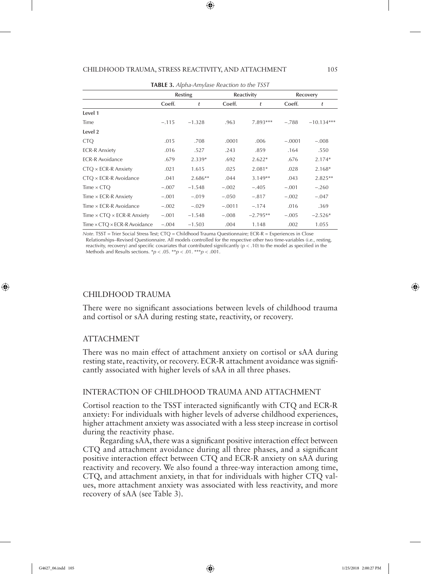|                                            | $\frac{1}{2}$ |           |            |            |          |              |  |  |  |
|--------------------------------------------|---------------|-----------|------------|------------|----------|--------------|--|--|--|
|                                            | Resting       |           | Reactivity |            | Recovery |              |  |  |  |
|                                            | Coeff.        | t         | Coeff.     | t          | Coeff.   | t            |  |  |  |
| Level 1                                    |               |           |            |            |          |              |  |  |  |
| Time                                       | $-.115$       | $-1.328$  | .963       | 7.893***   | $-.788$  | $-10.134***$ |  |  |  |
| Level 2                                    |               |           |            |            |          |              |  |  |  |
| <b>CTQ</b>                                 | .015          | .708      | .0001      | .006       | $-.0001$ | $-.008$      |  |  |  |
| <b>ECR-R Anxiety</b>                       | .016          | .527      | .243       | .859       | .164     | .550         |  |  |  |
| <b>ECR-R Avoidance</b>                     | .679          | 2.339*    | .692       | $2.622*$   | .676     | $2.174*$     |  |  |  |
| $CTQ \times ECR-R$ Anxiety                 | .021          | 1.615     | .025       | 2.081*     | .028     | 2.168*       |  |  |  |
| CTO × ECR-R Avoidance                      | .041          | $2.686**$ | .044       | $3.149**$  | .043     | $2.825**$    |  |  |  |
| Time $\times$ CTQ                          | $-.007$       | $-1.548$  | $-.002$    | $-.405$    | $-.001$  | $-.260$      |  |  |  |
| Time $\times$ ECR-R Anxiety                | $-.001$       | $-.019$   | $-.050$    | $-.817$    | $-.002$  | $-.047$      |  |  |  |
| Time × ECR-R Avoidance                     | $-.002$       | $-.029$   | $-.0011$   | $-.174$    | .016     | .369         |  |  |  |
| Time $\times$ CTQ $\times$ ECR-R Anxiety   | $-.001$       | $-1.548$  | $-.008$    | $-2.795**$ | $-.005$  | $-2.526*$    |  |  |  |
| Time $\times$ CTQ $\times$ ECR-R Avoidance | $-.004$       | $-1.503$  | .004       | 1.148      | .002     | 1.055        |  |  |  |

**TABLE 3.** *Alpha-Amylase Reaction to the TSST*

*Note.* TSST = Trier Social Stress Test; CTQ = Childhood Trauma Questionnaire; ECR-R = Experiences in Close Relationships–Revised Questionnaire. All models controlled for the respective other two time-variables (i.e., resting, reactivity, recovery) and specific covariates that contributed significantly  $(p < .10)$  to the model as specified in the Methods and Results sections.  $\sp{\ast}p < .05$ .  $\sp{\ast} \sp{\ast}p < .01$ .  $\sp{\ast} \sp{\ast} \sp{\ast}p < .001$ .

# CHILDHOOD TRAUMA

There were no significant associations between levels of childhood trauma and cortisol or sAA during resting state, reactivity, or recovery.

# ATTACHMENT

There was no main effect of attachment anxiety on cortisol or sAA during resting state, reactivity, or recovery. ECR-R attachment avoidance was significantly associated with higher levels of sAA in all three phases.

# INTERACTION OF CHILDHOOD TRAUMA AND ATTACHMENT

Cortisol reaction to the TSST interacted significantly with CTQ and ECR-R anxiety: For individuals with higher levels of adverse childhood experiences, higher attachment anxiety was associated with a less steep increase in cortisol during the reactivity phase.

Regarding sAA, there was a significant positive interaction effect between CTQ and attachment avoidance during all three phases, and a significant positive interaction effect between CTQ and ECR-R anxiety on sAA during reactivity and recovery. We also found a three-way interaction among time, CTQ, and attachment anxiety, in that for individuals with higher CTQ values, more attachment anxiety was associated with less reactivity, and more recovery of sAA (see Table 3).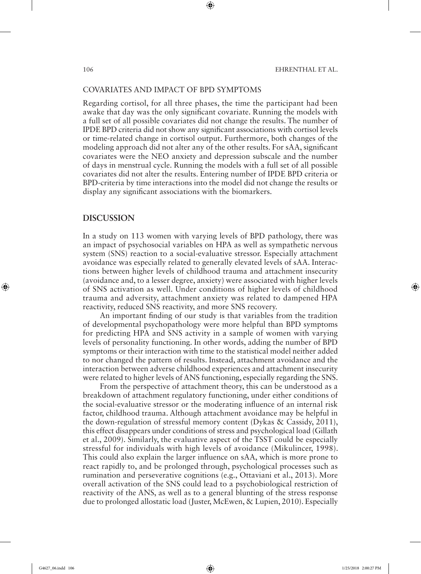# COVARIATES AND IMPACT OF BPD SYMPTOMS

Regarding cortisol, for all three phases, the time the participant had been awake that day was the only significant covariate. Running the models with a full set of all possible covariates did not change the results. The number of IPDE BPD criteria did not show any significant associations with cortisol levels or time-related change in cortisol output. Furthermore, both changes of the modeling approach did not alter any of the other results. For sAA, significant covariates were the NEO anxiety and depression subscale and the number of days in menstrual cycle. Running the models with a full set of all possible covariates did not alter the results. Entering number of IPDE BPD criteria or BPD-criteria by time interactions into the model did not change the results or display any significant associations with the biomarkers.

# **DISCUSSION**

In a study on 113 women with varying levels of BPD pathology, there was an impact of psychosocial variables on HPA as well as sympathetic nervous system (SNS) reaction to a social-evaluative stressor. Especially attachment avoidance was especially related to generally elevated levels of sAA. Interactions between higher levels of childhood trauma and attachment insecurity (avoidance and, to a lesser degree, anxiety) were associated with higher levels of SNS activation as well. Under conditions of higher levels of childhood trauma and adversity, attachment anxiety was related to dampened HPA reactivity, reduced SNS reactivity, and more SNS recovery.

An important finding of our study is that variables from the tradition of developmental psychopathology were more helpful than BPD symptoms for predicting HPA and SNS activity in a sample of women with varying levels of personality functioning. In other words, adding the number of BPD symptoms or their interaction with time to the statistical model neither added to nor changed the pattern of results. Instead, attachment avoidance and the interaction between adverse childhood experiences and attachment insecurity were related to higher levels of ANS functioning, especially regarding the SNS.

From the perspective of attachment theory, this can be understood as a breakdown of attachment regulatory functioning, under either conditions of the social-evaluative stressor or the moderating influence of an internal risk factor, childhood trauma. Although attachment avoidance may be helpful in the down-regulation of stressful memory content (Dykas & Cassidy, 2011), this effect disappears under conditions of stress and psychological load (Gillath et al., 2009). Similarly, the evaluative aspect of the TSST could be especially stressful for individuals with high levels of avoidance (Mikulincer, 1998). This could also explain the larger influence on sAA, which is more prone to react rapidly to, and be prolonged through, psychological processes such as rumination and perseverative cognitions (e.g., Ottaviani et al., 2013). More overall activation of the SNS could lead to a psychobiological restriction of reactivity of the ANS, as well as to a general blunting of the stress response due to prolonged allostatic load (Juster, McEwen, & Lupien, 2010). Especially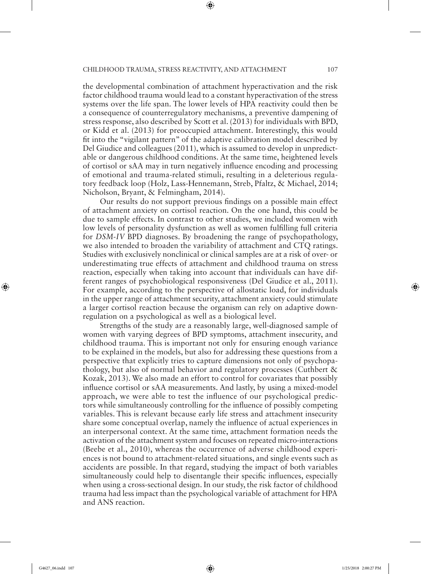the developmental combination of attachment hyperactivation and the risk factor childhood trauma would lead to a constant hyperactivation of the stress systems over the life span. The lower levels of HPA reactivity could then be a consequence of counterregulatory mechanisms, a preventive dampening of stress response, also described by Scott et al. (2013) for individuals with BPD, or Kidd et al. (2013) for preoccupied attachment. Interestingly, this would fit into the "vigilant pattern" of the adaptive calibration model described by Del Giudice and colleagues (2011), which is assumed to develop in unpredictable or dangerous childhood conditions. At the same time, heightened levels of cortisol or sAA may in turn negatively influence encoding and processing of emotional and trauma-related stimuli, resulting in a deleterious regulatory feedback loop (Holz, Lass-Hennemann, Streb, Pfaltz, & Michael, 2014; Nicholson, Bryant, & Felmingham, 2014).

Our results do not support previous findings on a possible main effect of attachment anxiety on cortisol reaction. On the one hand, this could be due to sample effects. In contrast to other studies, we included women with low levels of personality dysfunction as well as women fulfilling full criteria for *DSM-IV* BPD diagnoses. By broadening the range of psychopathology, we also intended to broaden the variability of attachment and CTQ ratings. Studies with exclusively nonclinical or clinical samples are at a risk of over- or underestimating true effects of attachment and childhood trauma on stress reaction, especially when taking into account that individuals can have different ranges of psychobiological responsiveness (Del Giudice et al., 2011). For example, according to the perspective of allostatic load, for individuals in the upper range of attachment security, attachment anxiety could stimulate a larger cortisol reaction because the organism can rely on adaptive downregulation on a psychological as well as a biological level.

Strengths of the study are a reasonably large, well-diagnosed sample of women with varying degrees of BPD symptoms, attachment insecurity, and childhood trauma. This is important not only for ensuring enough variance to be explained in the models, but also for addressing these questions from a perspective that explicitly tries to capture dimensions not only of psychopathology, but also of normal behavior and regulatory processes (Cuthbert & Kozak, 2013). We also made an effort to control for covariates that possibly influence cortisol or sAA measurements. And lastly, by using a mixed-model approach, we were able to test the influence of our psychological predictors while simultaneously controlling for the influence of possibly competing variables. This is relevant because early life stress and attachment insecurity share some conceptual overlap, namely the influence of actual experiences in an interpersonal context. At the same time, attachment formation needs the activation of the attachment system and focuses on repeated micro-interactions (Beebe et al., 2010), whereas the occurrence of adverse childhood experiences is not bound to attachment-related situations, and single events such as accidents are possible. In that regard, studying the impact of both variables simultaneously could help to disentangle their specific influences, especially when using a cross-sectional design. In our study, the risk factor of childhood trauma had less impact than the psychological variable of attachment for HPA and ANS reaction.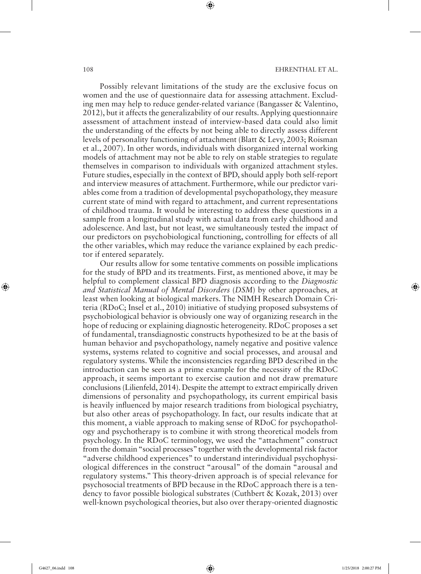Possibly relevant limitations of the study are the exclusive focus on women and the use of questionnaire data for assessing attachment. Excluding men may help to reduce gender-related variance (Bangasser & Valentino, 2012), but it affects the generalizability of our results. Applying questionnaire assessment of attachment instead of interview-based data could also limit the understanding of the effects by not being able to directly assess different levels of personality functioning of attachment (Blatt & Levy, 2003; Roisman et al., 2007). In other words, individuals with disorganized internal working models of attachment may not be able to rely on stable strategies to regulate themselves in comparison to individuals with organized attachment styles. Future studies, especially in the context of BPD, should apply both self-report and interview measures of attachment. Furthermore, while our predictor variables come from a tradition of developmental psychopathology, they measure current state of mind with regard to attachment, and current representations of childhood trauma. It would be interesting to address these questions in a sample from a longitudinal study with actual data from early childhood and adolescence. And last, but not least, we simultaneously tested the impact of our predictors on psychobiological functioning, controlling for effects of all the other variables, which may reduce the variance explained by each predictor if entered separately.

Our results allow for some tentative comments on possible implications for the study of BPD and its treatments. First, as mentioned above, it may be helpful to complement classical BPD diagnosis according to the *Diagnostic and Statistical Manual of Mental Disorders* (*DSM*) by other approaches, at least when looking at biological markers. The NIMH Research Domain Criteria (RDoC; Insel et al., 2010) initiative of studying proposed subsystems of psychobiological behavior is obviously one way of organizing research in the hope of reducing or explaining diagnostic heterogeneity. RDoC proposes a set of fundamental, transdiagnostic constructs hypothesized to be at the basis of human behavior and psychopathology, namely negative and positive valence systems, systems related to cognitive and social processes, and arousal and regulatory systems. While the inconsistencies regarding BPD described in the introduction can be seen as a prime example for the necessity of the RDoC approach, it seems important to exercise caution and not draw premature conclusions (Lilienfeld, 2014). Despite the attempt to extract empirically driven dimensions of personality and psychopathology, its current empirical basis is heavily influenced by major research traditions from biological psychiatry, but also other areas of psychopathology. In fact, our results indicate that at this moment, a viable approach to making sense of RDoC for psychopathology and psychotherapy is to combine it with strong theoretical models from psychology. In the RDoC terminology, we used the "attachment" construct from the domain "social processes" together with the developmental risk factor "adverse childhood experiences" to understand interindividual psychophysiological differences in the construct "arousal" of the domain "arousal and regulatory systems." This theory-driven approach is of special relevance for psychosocial treatments of BPD because in the RDoC approach there is a tendency to favor possible biological substrates (Cuthbert & Kozak, 2013) over well-known psychological theories, but also over therapy-oriented diagnostic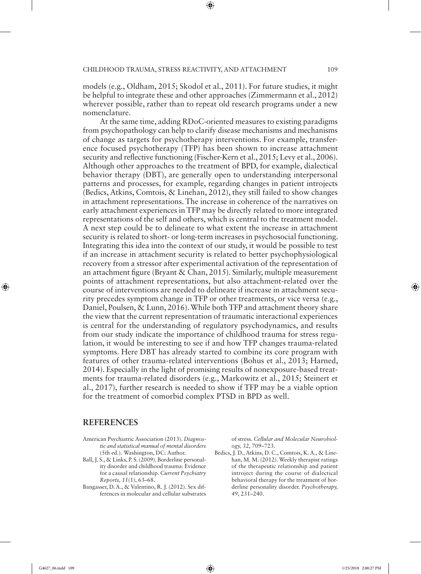models (e.g., Oldham, 2015; Skodol et al., 2011). For future studies, it might be helpful to integrate these and other approaches (Zimmermann et al., 2012) wherever possible, rather than to repeat old research programs under a new nomenclature.

At the same time, adding RDoC-oriented measures to existing paradigms from psychopathology can help to clarify disease mechanisms and mechanisms of change as targets for psychotherapy interventions. For example, transference focused psychotherapy (TFP) has been shown to increase attachment security and reflective functioning (Fischer-Kern et al., 2015; Levy et al., 2006). Although other approaches to the treatment of BPD, for example, dialectical behavior therapy (DBT), are generally open to understanding interpersonal patterns and processes, for example, regarding changes in patient introjects (Bedics, Atkins, Comtois, & Linehan, 2012), they still failed to show changes in attachment representations. The increase in coherence of the narratives on early attachment experiences in TFP may be directly related to more integrated representations of the self and others, which is central to the treatment model. A next step could be to delineate to what extent the increase in attachment security is related to short- or long-term increases in psychosocial functioning. Integrating this idea into the context of our study, it would be possible to test if an increase in attachment security is related to better psychophysiological recovery from a stressor after experimental activation of the representation of an attachment figure (Bryant & Chan, 2015). Similarly, multiple measurement points of attachment representations, but also attachment-related over the course of interventions are needed to delineate if increase in attachment security precedes symptom change in TFP or other treatments, or vice versa (e.g., Daniel, Poulsen, & Lunn, 2016). While both TFP and attachment theory share the view that the current representation of traumatic interactional experiences is central for the understanding of regulatory psychodynamics, and results from our study indicate the importance of childhood trauma for stress regulation, it would be interesting to see if and how TFP changes trauma-related symptoms. Here DBT has already started to combine its core program with features of other trauma-related interventions (Bohus et al., 2013; Harned, 2014). Especially in the light of promising results of nonexposure-based treatments for trauma-related disorders (e.g., Markowitz et al., 2015; Steinert et al., 2017), further research is needed to show if TFP may be a viable option for the treatment of comorbid complex PTSD in BPD as well.

# **REFERENCES**

- American Psychiatric Association (2013). *Diagnostic and statistical manual of mental disorders* (5th ed.). Washington, DC: Author.
- Ball, J. S., & Links, P. S. (2009). Borderline personality disorder and childhood trauma: Evidence for a causal relationship. *Current Psychiatry Reports, 11*(1), 63–68.
- Bangasser, D. A., & Valentino, R. J. (2012). Sex differences in molecular and cellular substrates

of stress. *Cellular and Molecular Neurobiology, 32*, 709–723.

Bedics, J. D., Atkins, D. C., Comtois, K. A., & Linehan, M. M. (2012). Weekly therapist ratings of the therapeutic relationship and patient introject during the course of dialectical behavioral therapy for the treatment of borderline personality disorder. *Psychotherapy, 49*, 231–240.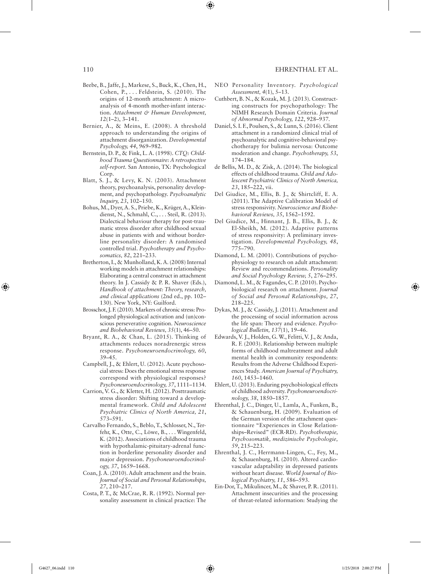- Beebe, B., Jaffe, J., Markese, S., Buck, K., Chen, H., Cohen, P., . . . Feldstein, S. (2010). The origins of 12-month attachment: A microanalysis of 4-month mother-infant interaction. *Attachment & Human Development, 12*(1–2), 3–141.
- Bernier, A., & Meins, E. (2008). A threshold approach to understanding the origins of attachment disorganization. *Developmental Psychology, 44*, 969–982.
- Bernstein, D. P., & Fink, L. A. (1998). *CTQ: Childhood Trauma Questionnaire: A retrospective self-report.* San Antonio, TX: Psychological Corp.
- Blatt, S. J., & Levy, K. N. (2003). Attachment theory, psychoanalysis, personality development, and psychopathology. *Psychoanalytic Inquiry, 23*, 102–150.
- Bohus, M., Dyer, A. S., Priebe, K., Krüger, A., Kleindienst, N., Schmahl, C., . . . Steil, R. (2013). Dialectical behaviour therapy for post-traumatic stress disorder after childhood sexual abuse in patients with and without borderline personality disorder: A randomised controlled trial. *Psychotherapy and Psychosomatics, 82*, 221–233.
- Bretherton, I., & Munholland, K. A. (2008) Internal working models in attachment relationships: Elaborating a central construct in attachment theory. In J. Cassidy & P. R. Shaver (Eds.), *Handbook of attachment: Theory, research, and clinical applications* (2nd ed., pp. 102– 130). New York, NY: Guilford.
- Brosschot, J. F. (2010). Markers of chronic stress: Prolonged physiological activation and (un)conscious perseverative cognition. *Neuroscience and Biobehavioral Reviews, 35*(1), 46–50.
- Bryant, R. A., & Chan, L. (2015). Thinking of attachments reduces noradrenergic stress response. *Psychoneuroendocrinology, 60*, 39–45.
- Campbell, J., & Ehlert, U. (2012). Acute psychosocial stress: Does the emotional stress response correspond with physiological responses? *Psychoneuroendocrinology, 37*, 1111–1134.
- Carrion, V. G., & Kletter, H. (2012). Posttraumatic stress disorder: Shifting toward a developmental framework. *Child and Adolescent Psychiatric Clinics of North America, 21*, 573–591.
- Carvalho Fernando, S., Beblo, T., Schlosser, N., Terfehr, K., Otte, C., Löwe, B., . . . Wingenfeld, K. (2012). Associations of childhood trauma with hypothalamic-pituitary-adrenal function in borderline personality disorder and major depression. *Psychoneuroendocrinology, 37*, 1659–1668.
- Coan, J. A. (2010). Adult attachment and the brain. *Journal of Social and Personal Relationships, 27*, 210–217.
- Costa, P. T., & McCrae, R. R. (1992). Normal personality assessment in clinical practice: The
- NEO Personality Inventory. *Psychological Assessment, 4*(1), 5–13.
- Cuthbert, B. N., & Kozak, M. J. (2013). Constructing constructs for psychopathology: The NIMH Research Domain Criteria. *Journal of Abnormal Psychology, 122*, 928–937.
- Daniel, S. I. F., Poulsen, S., & Lunn, S. (2016). Client attachment in a randomized clinical trial of psychoanalytic and cognitive-behavioral psychotherapy for bulimia nervosa: Outcome moderation and change. *Psychotherapy, 53*, 174–184.
- de Bellis, M. D., & Zisk, A. (2014). The biological effects of childhood trauma. *Child and Adolescent Psychiatric Clinics of North America, 23*, 185–222, vii.
- Del Giudice, M., Ellis, B. J., & Shirtcliff, E. A. (2011). The Adaptive Calibration Model of stress responsivity. *Neuroscience and Biobehavioral Reviews, 35*, 1562–1592.
- Del Giudice, M., Hinnant, J. B., Ellis, B. J., & El-Sheikh, M. (2012). Adaptive patterns of stress responsivity: A preliminary investigation. *Developmental Psychology, 48*, 775–790.
- Diamond, L. M. (2001). Contributions of psychophysiology to research on adult attachment: Review and recommendations. *Personality and Social Psychology Review, 5*, 276–295.
- Diamond, L. M., & Fagundes, C. P. (2010). Psychobiological research on attachment. *Journal of Social and Personal Relationships, 27*, 218–225.
- Dykas, M. J., & Cassidy, J. (2011). Attachment and the processing of social information across the life span: Theory and evidence. *Psychological Bulletin, 137*(1), 19–46.
- Edwards, V. J., Holden, G. W., Felitti, V. J., & Anda, R. F. (2003). Relationship between multiple forms of childhood maltreatment and adult mental health in community respondents: Results from the Adverse Childhood Experiences Study. *American Journal of Psychiatry, 160*, 1453–1460.
- Ehlert, U. (2013). Enduring psychobiological effects of childhood adversity. *Psychoneuroendocrinology, 38*, 1850–1857.
- Ehrenthal, J. C., Dinger, U., Lamla, A., Funken, B., & Schauenburg, H. (2009). Evaluation of the German version of the attachment questionnaire "Experiences in Close Relationships–Revised" (ECR-RD). *Psychotherapie, Psychosomatik, medizinische Psychologie, 59*, 215–223.
- Ehrenthal, J. C., Herrmann-Lingen, C., Fey, M., & Schauenburg, H. (2010). Altered cardiovascular adaptability in depressed patients without heart disease. *World Journal of Biological Psychiatry, 11*, 586–593.
- Ein-Dor, T., Mikulincer, M., & Shaver, P. R. (2011). Attachment insecurities and the processing of threat-related information: Studying the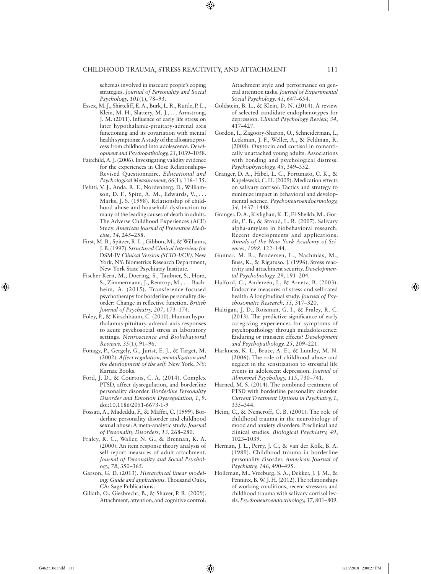schemas involved in insecure people's coping strategies. *Journal of Personality and Social Psychology, 101*(1), 78–93.

- Essex, M. J., Shirtcliff, E. A., Burk, L. R., Ruttle, P. L., Klein, M. H., Slattery, M. J., . . . Armstrong, J. M. (2011). Influence of early life stress on later hypothalamic-pituitary-adrenal axis functioning and its covariation with mental health symptoms: A study of the allostatic process from childhood into adolescence. *Development and Psychopathology, 23*, 1039–1058.
- Fairchild, A. J. (2006). Investigating validity evidence for the experiences in Close Relationships– Revised Questionnaire. *Educational and Psychological Measurement, 66*(1), 116–135.
- Felitti, V. J., Anda, R. F., Nordenberg, D., Williamson, D. F., Spitz, A. M., Edwards, V., . . . Marks, J. S. (1998). Relationship of childhood abuse and household dysfunction to many of the leading causes of death in adults. The Adverse Childhood Experiences (ACE) Study. *American Journal of Preventive Medicine, 14*, 245–258.
- First, M. B., Spitzer, R. L., Gibbon, M., & Williams, J. B. (1997). S*tructured Clinical Interview for*  DSM-IV *Clinical Version (SCID-I/CV).* New York, NY: Biometrics Research Department, New York State Psychiatry Institute.
- Fischer-Kern, M., Doering, S., Taubner, S., Horz, S., Zimmermann, J., Rentrop, M., . . . Buchheim, A. (2015). Transference-focused psychotherapy for borderline personality disorder: Change in reflective function. *British Journal of Psychiatry, 207*, 173–174.
- Foley, P., & Kirschbaum, C. (2010). Human hypothalamus-pituitary-adrenal axis responses to acute psychosocial stress in laboratory settings. *Neuroscience and Biobehavioral Reviews, 35*(1), 91–96.
- Fonagy, P., Gergely, G., Jurist, E. J., & Target, M. (2002). *Affect regulation, mentalization and the development of the self.* New York, NY: Karnac Books.
- Ford, J. D., & Courtois, C. A. (2014). Complex PTSD, affect dysregulation, and borderline personality disorder. *Borderline Personality Disorder and Emotion Dysregulation, 1*, 9. doi:10.1186/2051-6673-1-9
- Fossati, A., Madeddu, F., & Maffei, C. (1999). Borderline personality disorder and childhood sexual abuse: A meta-analytic study. *Journal of Personality Disorders, 13*, 268–280.
- Fraley, R. C., Waller, N. G., & Brennan, K. A. (2000). An item response theory analysis of self-report measures of adult attachment. *Journal of Personality and Social Psychology, 78*, 350–365.
- Garson, G. D. (2013). *Hierarchical linear modeling: Guide and applications.* Thousand Oaks, CA: Sage Publications.
- Gillath, O., Giesbrecht, B., & Shaver, P. R. (2009). Attachment, attention, and cognitive control:

Attachment style and performance on general attention tasks. *Journal of Experimental Social Psychology, 45*, 647–654.

- Goldstein, B. L., & Klein, D. N. (2014). A review of selected candidate endophenotypes for depression. *Clinical Psychology Review, 34*, 417–427.
- Gordon, I., Zagoory-Sharon, O., Schneiderman, I., Leckman, J. F., Weller, A., & Feldman, R. (2008). Oxytocin and cortisol in romantically unattached young adults: Associations with bonding and psychological distress. *Psychophysiology, 45*, 349–352.
- Granger, D. A., Hibel, L. C., Fortunato, C. K., & Kapelewski, C. H. (2009). Medication effects on salivary cortisol: Tactics and strategy to minimize impact in behavioral and developmental science. *Psychoneuroendocrinology, 34*, 1437–1448.
- Granger, D. A., Kivlighan, K. T., El-Sheikh, M., Gordis, E. B., & Stroud, L. R. (2007). Salivary alpha-amylase in biobehavioral research: Recent developments and applications. *Annals of the New York Academy of Sciences, 1098*, 122–144.
- Gunnar, M. R., Brodersen, L., Nachmias, M., Buss, K., & Rigatuso, J. (1996). Stress reactivity and attachment security. *Developmental Psychobiology, 29*, 191–204.
- Halford, C., Anderzén, I., & Arnetz, B. (2003). Endocrine measures of stress and self-rated health: A longitudinal study. *Journal of Psychosomatic Research, 55*, 317–320.
- Haltigan, J. D., Roisman, G. I., & Fraley, R. C. (2013). The predictive significance of early caregiving experiences for symptoms of psychopathology through midadolescence: Enduring or transient effects? *Development and Psychopathology, 25*, 209–221.
- Harkness, K. L., Bruce, A. E., & Lumley, M. N. (2006). The role of childhood abuse and neglect in the sensitization to stressful life events in adolescent depression. *Journal of Abnormal Psychology, 115*, 730–741.
- Harned, M. S. (2014). The combined treatment of PTSD with borderline personality disorder. *Current Treatment Options in Psychiatry, 1*, 335–344.
- Heim, C., & Nemeroff, C. B. (2001). The role of childhood trauma in the neurobiology of mood and anxiety disorders: Preclinical and clinical studies. *Biological Psychiatry, 49*, 1023–1039.
- Herman, J. L., Perry, J. C., & van der Kolk, B. A. (1989). Childhood trauma in borderline personality disorder. *American Journal of Psychiatry, 146*, 490–495.
- Holleman, M., Vreeburg, S. A., Dekker, J. J. M., & Penninx, B. W. J. H. (2012). The relationships of working conditions, recent stressors and childhood trauma with salivary cortisol levels. *Psychoneuroendocrinology, 37*, 801–809.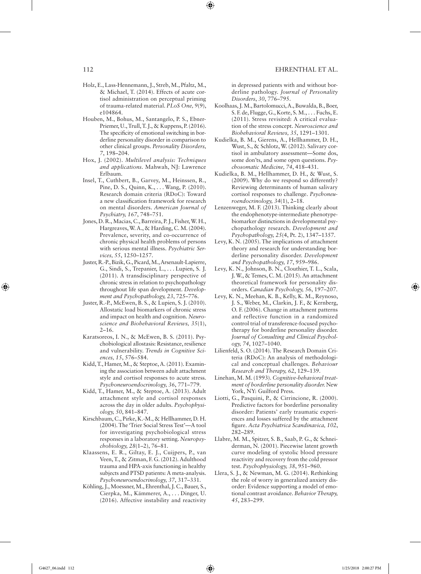- Holz, E., Lass-Hennemann, J., Streb, M., Pfaltz, M., & Michael, T. (2014). Effects of acute cortisol administration on perceptual priming of trauma-related material. *PLoS One, 9*(9), e104864.
- Houben, M., Bohus, M., Santangelo, P. S., Ebner-Priemer, U., Trull, T. J., & Kuppens, P. (2016). The specificity of emotional switching in borderline personality disorder in comparison to other clinical groups. *Personality Disorders, 7*, 198–204.
- Hox, J. (2002). *Multilevel analysis: Techniques and applications.* Mahwah, NJ: Lawrence Erlbaum.
- Insel, T., Cuthbert, B., Garvey, M., Heinssen, R., Pine, D. S., Quinn, K., . . . Wang, P. (2010). Research domain criteria (RDoC): Toward a new classification framework for research on mental disorders. *American Journal of Psychiatry, 167*, 748–751.
- Jones, D. R., Macias, C., Barreira, P. J., Fisher, W. H., Hargreaves, W. A., & Harding, C. M. (2004). Prevalence, severity, and co-occurrence of chronic physical health problems of persons with serious mental illness. *Psychiatric Services, 55*, 1250–1257.
- Juster, R.-P., Bizik, G., Picard, M., Arsenault-Lapierre, G., Sindi, S., Trepanier, L., . . . Lupien, S. J. (2011). A transdisciplinary perspective of chronic stress in relation to psychopathology throughout life span development. *Development and Psychopathology, 23*, 725–776.
- Juster, R.-P., McEwen, B. S., & Lupien, S. J. (2010). Allostatic load biomarkers of chronic stress and impact on health and cognition. *Neuroscience and Biobehavioral Reviews, 35*(1),  $2 - 16$ .
- Karatsoreos, I. N., & McEwen, B. S. (2011). Psychobiological allostasis: Resistance, resilience and vulnerability. *Trends in Cognitive Sciences, 15*, 576–584.
- Kidd, T., Hamer, M., & Steptoe, A. (2011). Examining the association between adult attachment style and cortisol responses to acute stress. *Psychoneuroendocrinology, 36*, 771–779.
- Kidd, T., Hamer, M., & Steptoe, A. (2013). Adult attachment style and cortisol responses across the day in older adults. *Psychophysiology, 50*, 841–847.
- Kirschbaum, C., Pirke, K.-M., & Hellhammer, D. H. (2004). The 'Trier Social Stress Test'—A tool for investigating psychobiological stress responses in a laboratory setting. *Neuropsychobiology, 28*(1–2), 76–81.
- Klaassens, E. R., Giltay, E. J., Cuijpers, P., van Veen, T., & Zitman, F. G. (2012). Adulthood trauma and HPA-axis functioning in healthy subjects and PTSD patients: A meta-analysis. *Psychoneuroendocrinology, 37*, 317–331.
- Köhling, J., Moessner, M., Ehrenthal, J. C., Bauer, S., Cierpka, M., Kämmerer, A., . . . Dinger, U. (2016). Affective instability and reactivity

in depressed patients with and without borderline pathology. *Journal of Personality Disorders*, *30*, 776–795.

- Koolhaas, J. M., Bartolomucci, A., Buwalda, B., Boer, S. F. de, Flugge, G., Korte, S. M., . . . Fuchs, E. (2011). Stress revisited: A critical evaluation of the stress concept. *Neuroscience and Biobehavioral Reviews, 35*, 1291–1301.
- Kudielka, B. M., Gierens, A., Hellhammer, D. H., Wust, S., & Schlotz, W. (2012). Salivary cortisol in ambulatory assessment—Some dos, some don'ts, and some open questions. *Psychosomatic Medicine, 74*, 418–431.
- Kudielka, B. M., Hellhammer, D. H., & Wust, S. (2009). Why do we respond so differently? Reviewing determinants of human salivary cortisol responses to challenge. *Psychoneuroendocrinology, 34*(1), 2–18.
- Lenzenweger, M. F. (2013). Thinking clearly about the endophenotype-intermediate phenotypebiomarker distinctions in developmental psychopathology research. *Development and Psychopathology, 25*(4, Pt. 2), 1347–1357.
- Levy, K. N. (2005). The implications of attachment theory and research for understanding borderline personality disorder. *Development and Psychopathology, 17*, 959–986.
- Levy, K. N., Johnson, B. N., Clouthier, T. L., Scala, J. W., & Temes, C. M. (2015). An attachment theoretical framework for personality disorders. *Canadian Psychology, 56*, 197–207.
- Levy, K. N., Meehan, K. B., Kelly, K. M., Reynoso, J. S., Weber, M., Clarkin, J. F., & Kernberg, O. F. (2006). Change in attachment patterns and reflective function in a randomized control trial of transference-focused psychotherapy for borderline personality disorder. *Journal of Consulting and Clinical Psychology, 74*, 1027–1040.
- Lilienfeld, S. O. (2014). The Research Domain Criteria (RDoC): An analysis of methodological and conceptual challenges. *Behaviour Research and Therapy, 62*, 129–139.
- Linehan, M. M. (1993). *Cognitive-behavioral treatment of borderline personality disorder.* New York, NY: Guilford Press.
- Liotti, G., Pasquini, P., & Cirrincione, R. (2000). Predictive factors for borderline personality disorder: Patients' early traumatic experiences and losses suffered by the attachment figure. *Acta Psychiatrica Scandinavica, 102*, 282–289.
- Llabre, M. M., Spitzer, S. B., Saab, P. G., & Schneiderman, N. (2001). Piecewise latent growth curve modeling of systolic blood pressure reactivity and recovery from the cold pressor test. *Psychophysiology, 38*, 951–960.
- Llera, S. J., & Newman, M. G. (2014). Rethinking the role of worry in generalized anxiety disorder: Evidence supporting a model of emotional contrast avoidance. *Behavior Therapy, 45*, 283–299.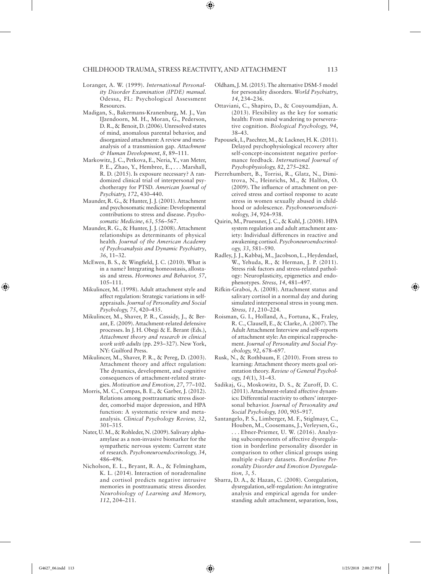- Loranger, A. W. (1999). *International Personality Disorder Examination (IPDE) manual.*  Odessa, FL: Psychological Assessment Resources.
- Madigan, S., Bakermans-Kranenburg, M. J., Van IJzendoorn, M. H., Moran, G., Pederson, D. R., & Benoit, D. (2006). Unresolved states of mind, anomalous parental behavior, and disorganized attachment: A review and metaanalysis of a transmission gap. *Attachment & Human Development*, *8*, 89–111.
- Markowitz, J. C., Petkova, E., Neria, Y., van Meter, P. E., Zhao, Y., Hembree, E., . . . Marshall, R. D. (2015). Is exposure necessary? A randomized clinical trial of interpersonal psychotherapy for PTSD. *American Journal of Psychiatry, 172*, 430–440.
- Maunder, R. G., & Hunter, J. J. (2001). Attachment and psychosomatic medicine: Developmental contributions to stress and disease. *Psychosomatic Medicine*, *63*, 556–567.
- Maunder, R. G., & Hunter, J. J. (2008). Attachment relationships as determinants of physical health. *Journal of the American Academy of Psychoanalysis and Dynamic Psychiatry*, *36*, 11–32.
- McEwen, B. S., & Wingfield, J. C. (2010). What is in a name? Integrating homeostasis, allostasis and stress. *Hormones and Behavior, 57*, 105–111.
- Mikulincer, M. (1998). Adult attachment style and affect regulation: Strategic variations in selfappraisals. *Journal of Personality and Social Psychology, 75*, 420–435.
- Mikulincer, M., Shaver, P. R., Cassidy, J., & Berant, E. (2009). Attachment-related defensive processes. In J. H. Obegi & E. Berant (Eds.), *Attachment theory and research in clinical work with adults* (pp. 293–327). New York, NY: Guilford Press.
- Mikulincer, M., Shaver, P. R., & Pereg, D. (2003). Attachment theory and affect regulation: The dynamics, development, and cognitive consequences of attachment-related strategies. *Motivation and Emotion, 27*, 77–102.
- Morris, M. C., Compas, B. E., & Garber, J. (2012). Relations among posttraumatic stress disorder, comorbid major depression, and HPA function: A systematic review and metaanalysis. *Clinical Psychology Review, 32*, 301–315.
- Nater, U. M., & Rohleder, N. (2009). Salivary alphaamylase as a non-invasive biomarker for the sympathetic nervous system: Current state of research. *Psychoneuroendocrinology, 34*, 486–496.
- Nicholson, E. L., Bryant, R. A., & Felmingham, K. L. (2014). Interaction of noradrenaline and cortisol predicts negative intrusive memories in posttraumatic stress disorder. *Neurobiology of Learning and Memory, 112*, 204–211.
- Oldham, J. M. (2015). The alternative DSM‐5 model for personality disorders. *World Psychiatry*, *14*, 234–236.
- Ottaviani, C., Shapiro, D., & Couyoumdjian, A. (2013). Flexibility as the key for somatic health: From mind wandering to perseverative cognition. *Biological Psychology, 94*, 38–43.
- Papousek, I., Paechter, M., & Lackner, H. K. (2011). Delayed psychophysiological recovery after self-concept-inconsistent negative performance feedback. *International Journal of Psychophysiology, 82*, 275–282.
- Pierrehumbert, B., Torrisi, R., Glatz, N., Dimitrova, N., Heinrichs, M., & Halfon, O. (2009). The influence of attachment on perceived stress and cortisol response to acute stress in women sexually abused in childhood or adolescence. *Psychoneuroendocrinology, 34*, 924–938.
- Quirin, M., Pruessner, J. C., & Kuhl, J. (2008). HPA system regulation and adult attachment anxiety: Individual differences in reactive and awakening cortisol. *Psychoneuroendocrinology, 33*, 581–590.
- Radley, J. J., Kabbaj, M., Jacobson, L., Heydendael, W., Yehuda, R., & Herman, J. P. (2011). Stress risk factors and stress-related pathology: Neuroplasticity, epigenetics and endophenotypes. *Stress, 14*, 481–497.
- Rifkin-Graboi, A. (2008). Attachment status and salivary cortisol in a normal day and during simulated interpersonal stress in young men. *Stress, 11*, 210–224.
- Roisman, G. I., Holland, A., Fortuna, K., Fraley, R. C., Clausell, E., & Clarke, A. (2007). The Adult Attachment Interview and self-reports of attachment style: An empirical rapprochement. *Journal of Personality and Social Psychology, 92*, 678–697.
- Rusk, N., & Rothbaum, F. (2010). From stress to learning: Attachment theory meets goal orientation theory. *Review of General Psychology, 14*(1), 31–43.
- Sadikaj, G., Moskowitz, D. S., & Zuroff, D. C. (2011). Attachment-related affective dynamics: Differential reactivity to others' interpersonal behavior. *Journal of Personality and Social Psychology, 100*, 905–917.
- Santangelo, P. S., Limberger, M. F., Stiglmayr, C., Houben, M., Coosemans, J., Verleysen, G., . . . Ebner-Priemer, U. W. (2016). Analyzing subcomponents of affective dysregulation in borderline personality disorder in comparison to other clinical groups using multiple e-diary datasets. *Borderline Personality Disorder and Emotion Dysregulation, 3*, 5.
- Sbarra, D. A., & Hazan, C. (2008). Coregulation, dysregulation, self-regulation: An integrative analysis and empirical agenda for understanding adult attachment, separation, loss,